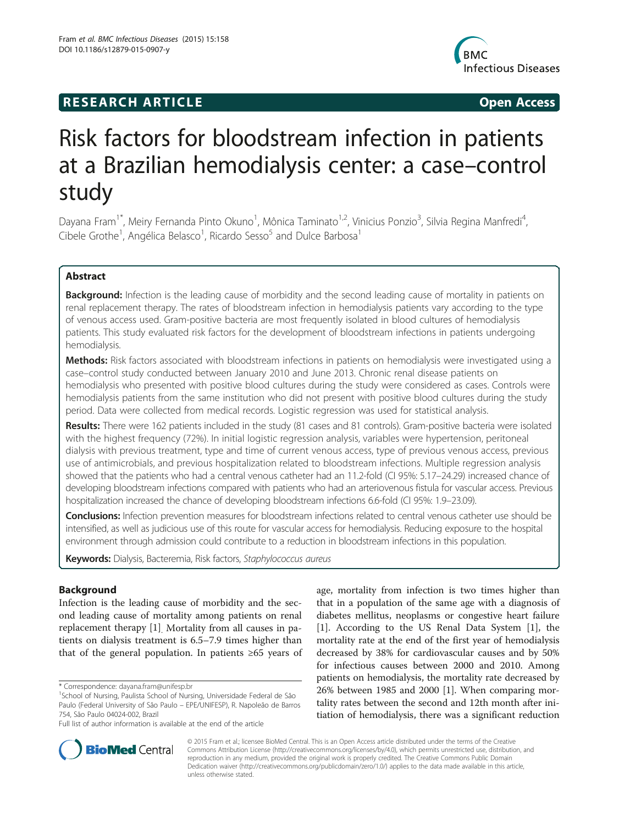# **RESEARCH ARTICLE Example 2018 12:00 Open Access**



# Risk factors for bloodstream infection in patients at a Brazilian hemodialysis center: a case–control study

Dayana Fram<sup>1\*</sup>, Meiry Fernanda Pinto Okuno<sup>1</sup>, Mônica Taminato<sup>1,2</sup>, Vinicius Ponzio<sup>3</sup>, Silvia Regina Manfredi<sup>4</sup> , Cibele Grothe<sup>1</sup>, Angélica Belasco<sup>1</sup>, Ricardo Sesso<sup>5</sup> and Dulce Barbosa<sup>1</sup>

# Abstract

Background: Infection is the leading cause of morbidity and the second leading cause of mortality in patients on renal replacement therapy. The rates of bloodstream infection in hemodialysis patients vary according to the type of venous access used. Gram-positive bacteria are most frequently isolated in blood cultures of hemodialysis patients. This study evaluated risk factors for the development of bloodstream infections in patients undergoing hemodialysis.

Methods: Risk factors associated with bloodstream infections in patients on hemodialysis were investigated using a case–control study conducted between January 2010 and June 2013. Chronic renal disease patients on hemodialysis who presented with positive blood cultures during the study were considered as cases. Controls were hemodialysis patients from the same institution who did not present with positive blood cultures during the study period. Data were collected from medical records. Logistic regression was used for statistical analysis.

Results: There were 162 patients included in the study (81 cases and 81 controls). Gram-positive bacteria were isolated with the highest frequency (72%). In initial logistic regression analysis, variables were hypertension, peritoneal dialysis with previous treatment, type and time of current venous access, type of previous venous access, previous use of antimicrobials, and previous hospitalization related to bloodstream infections. Multiple regression analysis showed that the patients who had a central venous catheter had an 11.2-fold (CI 95%: 5.17–24.29) increased chance of developing bloodstream infections compared with patients who had an arteriovenous fistula for vascular access. Previous hospitalization increased the chance of developing bloodstream infections 6.6-fold (CI 95%: 1.9–23.09).

**Conclusions:** Infection prevention measures for bloodstream infections related to central venous catheter use should be intensified, as well as judicious use of this route for vascular access for hemodialysis. Reducing exposure to the hospital environment through admission could contribute to a reduction in bloodstream infections in this population.

Keywords: Dialysis, Bacteremia, Risk factors, Staphylococcus aureus

# Background

Infection is the leading cause of morbidity and the second leading cause of mortality among patients on renal replacement therapy [[1\]](#page-7-0). Mortality from all causes in patients on dialysis treatment is 6.5–7.9 times higher than that of the general population. In patients  $\geq 65$  years of age, mortality from infection is two times higher than that in a population of the same age with a diagnosis of diabetes mellitus, neoplasms or congestive heart failure [[1\]](#page-7-0). According to the US Renal Data System [\[1](#page-7-0)], the mortality rate at the end of the first year of hemodialysis decreased by 38% for cardiovascular causes and by 50% for infectious causes between 2000 and 2010. Among patients on hemodialysis, the mortality rate decreased by 26% between 1985 and 2000 [\[1](#page-7-0)]. When comparing mortality rates between the second and 12th month after initiation of hemodialysis, there was a significant reduction



© 2015 Fram et al.; licensee BioMed Central. This is an Open Access article distributed under the terms of the Creative Commons Attribution License [\(http://creativecommons.org/licenses/by/4.0\)](http://creativecommons.org/licenses/by/4.0), which permits unrestricted use, distribution, and reproduction in any medium, provided the original work is properly credited. The Creative Commons Public Domain Dedication waiver [\(http://creativecommons.org/publicdomain/zero/1.0/](http://creativecommons.org/publicdomain/zero/1.0/)) applies to the data made available in this article, unless otherwise stated.

<sup>\*</sup> Correspondence: [dayana.fram@unifesp.br](mailto:dayana.fram@unifesp.br) <sup>1</sup>

 $1$ School of Nursing, Paulista School of Nursing, Universidade Federal de São Paulo (Federal University of São Paulo – EPE/UNIFESP), R. Napoleão de Barros 754, São Paulo 04024-002, Brazil

Full list of author information is available at the end of the article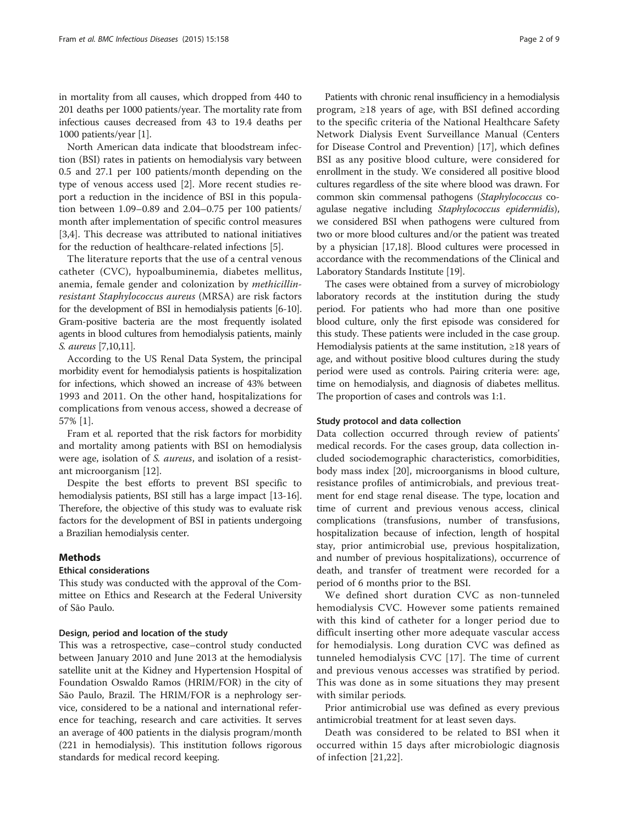in mortality from all causes, which dropped from 440 to 201 deaths per 1000 patients/year. The mortality rate from infectious causes decreased from 43 to 19.4 deaths per 1000 patients/year [[1\]](#page-7-0).

North American data indicate that bloodstream infection (BSI) rates in patients on hemodialysis vary between 0.5 and 27.1 per 100 patients/month depending on the type of venous access used [\[2\]](#page-7-0). More recent studies report a reduction in the incidence of BSI in this population between 1.09–0.89 and 2.04–0.75 per 100 patients/ month after implementation of specific control measures [[3,4\]](#page-7-0). This decrease was attributed to national initiatives for the reduction of healthcare-related infections [[5\]](#page-7-0).

The literature reports that the use of a central venous catheter (CVC), hypoalbuminemia, diabetes mellitus, anemia, female gender and colonization by methicillinresistant Staphylococcus aureus (MRSA) are risk factors for the development of BSI in hemodialysis patients [\[6-10](#page-7-0)]. Gram-positive bacteria are the most frequently isolated agents in blood cultures from hemodialysis patients, mainly S. aureus [[7,10,11](#page-7-0)].

According to the US Renal Data System, the principal morbidity event for hemodialysis patients is hospitalization for infections, which showed an increase of 43% between 1993 and 2011. On the other hand, hospitalizations for complications from venous access, showed a decrease of 57% [[1\]](#page-7-0).

Fram et al. reported that the risk factors for morbidity and mortality among patients with BSI on hemodialysis were age, isolation of S. aureus, and isolation of a resistant microorganism [\[12](#page-8-0)].

Despite the best efforts to prevent BSI specific to hemodialysis patients, BSI still has a large impact [[13](#page-8-0)-[16](#page-8-0)]. Therefore, the objective of this study was to evaluate risk factors for the development of BSI in patients undergoing a Brazilian hemodialysis center.

#### Methods

### Ethical considerations

This study was conducted with the approval of the Committee on Ethics and Research at the Federal University of São Paulo.

### Design, period and location of the study

This was a retrospective, case–control study conducted between January 2010 and June 2013 at the hemodialysis satellite unit at the Kidney and Hypertension Hospital of Foundation Oswaldo Ramos (HRIM/FOR) in the city of São Paulo, Brazil. The HRIM/FOR is a nephrology service, considered to be a national and international reference for teaching, research and care activities. It serves an average of 400 patients in the dialysis program/month (221 in hemodialysis). This institution follows rigorous standards for medical record keeping.

Patients with chronic renal insufficiency in a hemodialysis program, ≥18 years of age, with BSI defined according to the specific criteria of the National Healthcare Safety Network Dialysis Event Surveillance Manual (Centers for Disease Control and Prevention) [[17\]](#page-8-0), which defines BSI as any positive blood culture, were considered for enrollment in the study. We considered all positive blood cultures regardless of the site where blood was drawn. For common skin commensal pathogens (Staphylococcus coagulase negative including Staphylococcus epidermidis), we considered BSI when pathogens were cultured from two or more blood cultures and/or the patient was treated by a physician [[17,18](#page-8-0)]. Blood cultures were processed in accordance with the recommendations of the Clinical and Laboratory Standards Institute [[19](#page-8-0)].

The cases were obtained from a survey of microbiology laboratory records at the institution during the study period. For patients who had more than one positive blood culture, only the first episode was considered for this study. These patients were included in the case group. Hemodialysis patients at the same institution, ≥18 years of age, and without positive blood cultures during the study period were used as controls. Pairing criteria were: age, time on hemodialysis, and diagnosis of diabetes mellitus. The proportion of cases and controls was 1:1.

#### Study protocol and data collection

Data collection occurred through review of patients' medical records. For the cases group, data collection included sociodemographic characteristics, comorbidities, body mass index [\[20](#page-8-0)], microorganisms in blood culture, resistance profiles of antimicrobials, and previous treatment for end stage renal disease. The type, location and time of current and previous venous access, clinical complications (transfusions, number of transfusions, hospitalization because of infection, length of hospital stay, prior antimicrobial use, previous hospitalization, and number of previous hospitalizations), occurrence of death, and transfer of treatment were recorded for a period of 6 months prior to the BSI.

We defined short duration CVC as non-tunneled hemodialysis CVC. However some patients remained with this kind of catheter for a longer period due to difficult inserting other more adequate vascular access for hemodialysis. Long duration CVC was defined as tunneled hemodialysis CVC [[17](#page-8-0)]. The time of current and previous venous accesses was stratified by period. This was done as in some situations they may present with similar periods.

Prior antimicrobial use was defined as every previous antimicrobial treatment for at least seven days.

Death was considered to be related to BSI when it occurred within 15 days after microbiologic diagnosis of infection [\[21,22](#page-8-0)].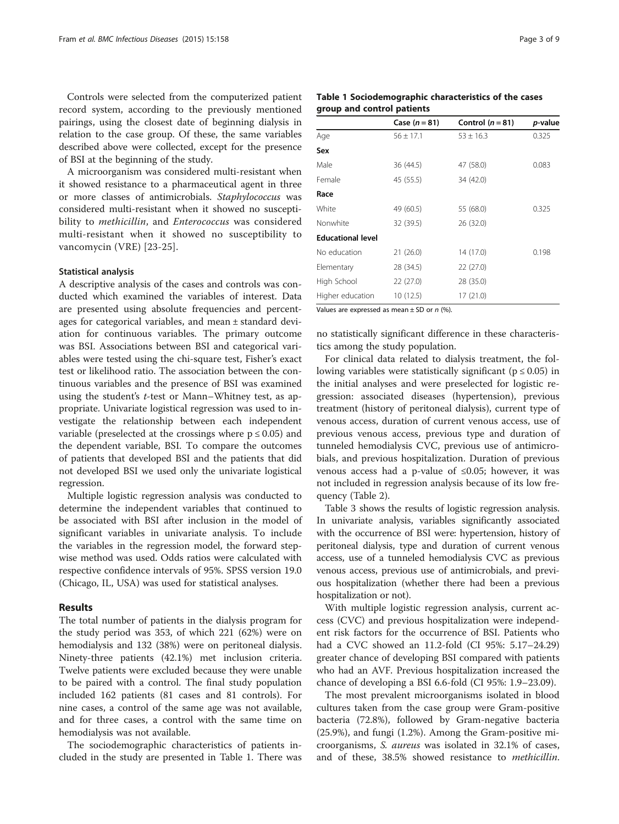Controls were selected from the computerized patient record system, according to the previously mentioned pairings, using the closest date of beginning dialysis in relation to the case group. Of these, the same variables described above were collected, except for the presence of BSI at the beginning of the study.

A microorganism was considered multi-resistant when it showed resistance to a pharmaceutical agent in three or more classes of antimicrobials. Staphylococcus was considered multi-resistant when it showed no susceptibility to *methicillin*, and *Enterococcus* was considered multi-resistant when it showed no susceptibility to vancomycin (VRE) [[23](#page-8-0)-[25](#page-8-0)].

#### Statistical analysis

A descriptive analysis of the cases and controls was conducted which examined the variables of interest. Data are presented using absolute frequencies and percentages for categorical variables, and mean ± standard deviation for continuous variables. The primary outcome was BSI. Associations between BSI and categorical variables were tested using the chi-square test, Fisher's exact test or likelihood ratio. The association between the continuous variables and the presence of BSI was examined using the student's t-test or Mann-Whitney test, as appropriate. Univariate logistical regression was used to investigate the relationship between each independent variable (preselected at the crossings where  $p \le 0.05$ ) and the dependent variable, BSI. To compare the outcomes of patients that developed BSI and the patients that did not developed BSI we used only the univariate logistical regression.

Multiple logistic regression analysis was conducted to determine the independent variables that continued to be associated with BSI after inclusion in the model of significant variables in univariate analysis. To include the variables in the regression model, the forward stepwise method was used. Odds ratios were calculated with respective confidence intervals of 95%. SPSS version 19.0 (Chicago, IL, USA) was used for statistical analyses.

#### Results

The total number of patients in the dialysis program for the study period was 353, of which 221 (62%) were on hemodialysis and 132 (38%) were on peritoneal dialysis. Ninety-three patients (42.1%) met inclusion criteria. Twelve patients were excluded because they were unable to be paired with a control. The final study population included 162 patients (81 cases and 81 controls). For nine cases, a control of the same age was not available, and for three cases, a control with the same time on hemodialysis was not available.

The sociodemographic characteristics of patients included in the study are presented in Table 1. There was

|                            | Table 1 Sociodemographic characteristics of the cases |  |
|----------------------------|-------------------------------------------------------|--|
| group and control patients |                                                       |  |

|                          | Case $(n = 81)$ | Control $(n = 81)$ | p-value |
|--------------------------|-----------------|--------------------|---------|
| Age                      | $56 \pm 17.1$   | $53 \pm 16.3$      | 0.325   |
| Sex                      |                 |                    |         |
| Male                     | 36 (44.5)       | 47 (58.0)          | 0.083   |
| Female                   | 45 (55.5)       | 34 (42.0)          |         |
| Race                     |                 |                    |         |
| White                    | 49 (60.5)       | 55 (68.0)          | 0.325   |
| Nonwhite                 | 32 (39.5)       | 26 (32.0)          |         |
| <b>Educational level</b> |                 |                    |         |
| No education             | 21(26.0)        | 14 (17.0)          | 0.198   |
| Elementary               | 28 (34.5)       | 22 (27.0)          |         |
| High School              | 22 (27.0)       | 28 (35.0)          |         |
| Higher education         | 10 (12.5)       | 17 (21.0)          |         |
| .                        |                 |                    |         |

Values are expressed as mean  $\pm$  SD or n (%).

no statistically significant difference in these characteristics among the study population.

For clinical data related to dialysis treatment, the following variables were statistically significant ( $p \le 0.05$ ) in the initial analyses and were preselected for logistic regression: associated diseases (hypertension), previous treatment (history of peritoneal dialysis), current type of venous access, duration of current venous access, use of previous venous access, previous type and duration of tunneled hemodialysis CVC, previous use of antimicrobials, and previous hospitalization. Duration of previous venous access had a p-value of ≤0.05; however, it was not included in regression analysis because of its low frequency (Table [2](#page-3-0)).

Table [3](#page-4-0) shows the results of logistic regression analysis. In univariate analysis, variables significantly associated with the occurrence of BSI were: hypertension, history of peritoneal dialysis, type and duration of current venous access, use of a tunneled hemodialysis CVC as previous venous access, previous use of antimicrobials, and previous hospitalization (whether there had been a previous hospitalization or not).

With multiple logistic regression analysis, current access (CVC) and previous hospitalization were independent risk factors for the occurrence of BSI. Patients who had a CVC showed an 11.2-fold (CI 95%: 5.17–24.29) greater chance of developing BSI compared with patients who had an AVF. Previous hospitalization increased the chance of developing a BSI 6.6-fold (CI 95%: 1.9–23.09).

The most prevalent microorganisms isolated in blood cultures taken from the case group were Gram-positive bacteria (72.8%), followed by Gram-negative bacteria (25.9%), and fungi (1.2%). Among the Gram-positive microorganisms, S. aureus was isolated in 32.1% of cases, and of these, 38.5% showed resistance to methicillin.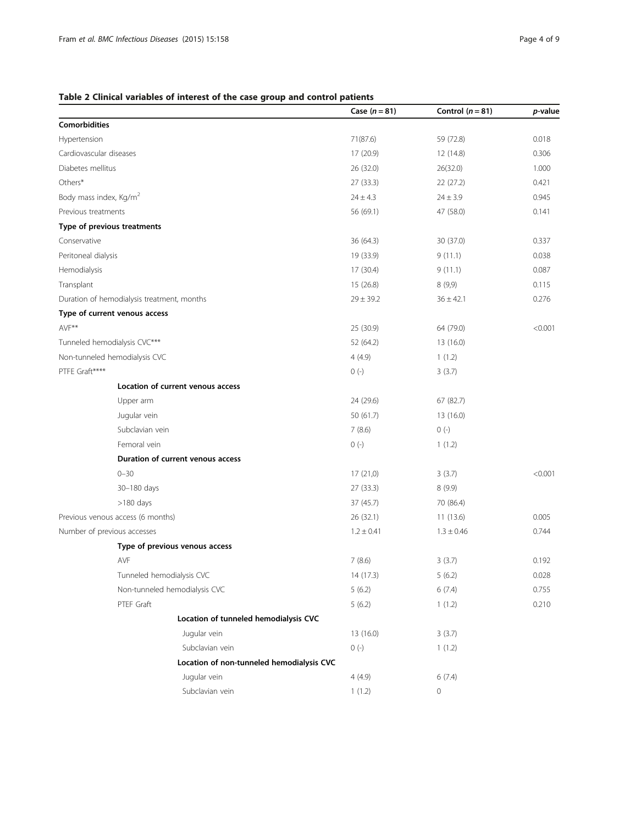# <span id="page-3-0"></span>Table 2 Clinical variables of interest of the case group and control patients

|                                            | Case $(n = 81)$ | Control $(n = 81)$ | p-value |
|--------------------------------------------|-----------------|--------------------|---------|
| <b>Comorbidities</b>                       |                 |                    |         |
| Hypertension                               | 71(87.6)        | 59 (72.8)          | 0.018   |
| Cardiovascular diseases                    | 17 (20.9)       | 12 (14.8)          | 0.306   |
| Diabetes mellitus                          | 26 (32.0)       | 26(32.0)           | 1.000   |
| $Others*$                                  | 27 (33.3)       | 22(27.2)           | 0.421   |
| Body mass index, Kg/m <sup>2</sup>         | $24 \pm 4.3$    | $24 \pm 3.9$       | 0.945   |
| Previous treatments                        | 56 (69.1)       | 47 (58.0)          | 0.141   |
| Type of previous treatments                |                 |                    |         |
| Conservative                               | 36 (64.3)       | 30 (37.0)          | 0.337   |
| Peritoneal dialysis                        | 19 (33.9)       | 9(11.1)            | 0.038   |
| Hemodialysis                               | 17 (30.4)       | 9(11.1)            | 0.087   |
| Transplant                                 | 15(26.8)        | 8(9,9)             | 0.115   |
| Duration of hemodialysis treatment, months | $29 \pm 39.2$   | $36 \pm 42.1$      | 0.276   |
| Type of current venous access              |                 |                    |         |
| AVF**                                      | 25 (30.9)       | 64 (79.0)          | < 0.001 |
| Tunneled hemodialysis CVC***               | 52 (64.2)       | 13 (16.0)          |         |
| Non-tunneled hemodialysis CVC              | 4(4.9)          | 1(1.2)             |         |
| PTFE Graft****                             | $0 (-)$         | 3(3.7)             |         |
| Location of current venous access          |                 |                    |         |
| Upper arm                                  | 24 (29.6)       | 67 (82.7)          |         |
| Jugular vein                               | 50 (61.7)       | 13 (16.0)          |         |
| Subclavian vein                            | 7(8.6)          | $0 (-)$            |         |
| Femoral vein                               | $0 (-)$         | 1(1.2)             |         |
| Duration of current venous access          |                 |                    |         |
| $0 - 30$                                   | 17(21,0)        | 3(3.7)             | < 0.001 |
| 30-180 days                                | 27 (33.3)       | 8(9.9)             |         |
| $>180$ days                                | 37 (45.7)       | 70 (86.4)          |         |
| Previous venous access (6 months)          | 26 (32.1)       | 11(13.6)           | 0.005   |
| Number of previous accesses                | $1.2 \pm 0.41$  | $1.3 \pm 0.46$     | 0.744   |
| Type of previous venous access             |                 |                    |         |
| AVF                                        | 7(8.6)          | 3(3.7)             | 0.192   |
| Tunneled hemodialysis CVC                  | 14 (17.3)       | 5(6.2)             | 0.028   |
| Non-tunneled hemodialysis CVC              | 5(6.2)          | 6(7.4)             | 0.755   |
| PTEF Graft                                 | 5(6.2)          | 1(1.2)             | 0.210   |
| Location of tunneled hemodialysis CVC      |                 |                    |         |
| Jugular vein                               | 13 (16.0)       | 3(3.7)             |         |
| Subclavian vein                            | $0 (-)$         | 1(1.2)             |         |
| Location of non-tunneled hemodialysis CVC  |                 |                    |         |
| Jugular vein                               | 4(4.9)          | 6(7.4)             |         |
| Subclavian vein                            | 1(1.2)          | $\circ$            |         |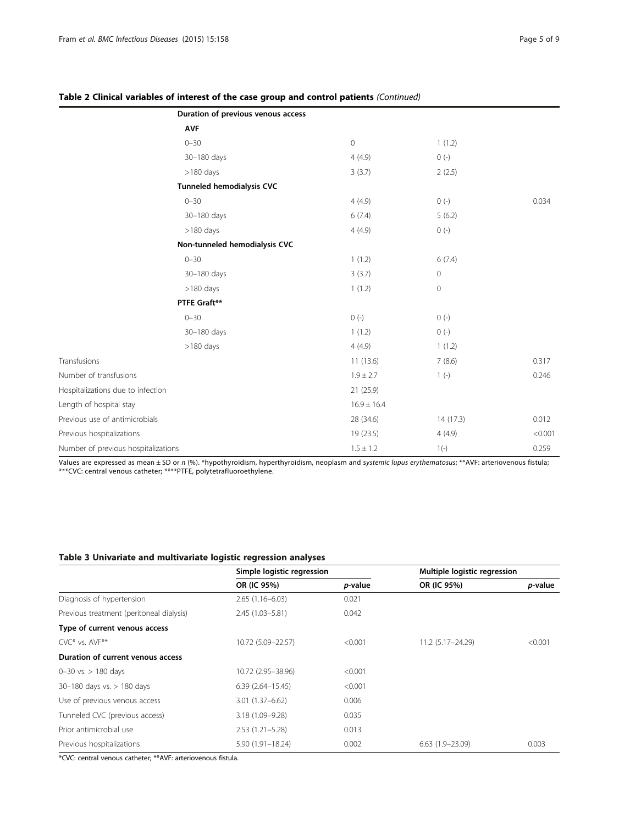| Duration of previous venous access  |                 |             |         |
|-------------------------------------|-----------------|-------------|---------|
| <b>AVF</b>                          |                 |             |         |
| $0 - 30$                            | 0               | 1(1.2)      |         |
| 30-180 days                         | 4(4.9)          | $O(-)$      |         |
| $>180$ days                         | 3(3.7)          | 2(2.5)      |         |
| Tunneled hemodialysis CVC           |                 |             |         |
| $0 - 30$                            | 4(4.9)          | $0 (-)$     | 0.034   |
| 30-180 days                         | 6(7.4)          | 5(6.2)      |         |
| $>180$ days                         | 4(4.9)          | $0 (-)$     |         |
| Non-tunneled hemodialysis CVC       |                 |             |         |
| $0 - 30$                            | 1(1.2)          | 6(7.4)      |         |
| 30-180 days                         | 3(3.7)          | $\mathbf 0$ |         |
| $>180$ days                         | 1(1.2)          | $\mathbf 0$ |         |
| PTFE Graft**                        |                 |             |         |
| $0 - 30$                            | $0(-)$          | $0 (-)$     |         |
| 30-180 days                         | 1(1.2)          | $0 (-)$     |         |
| $>180$ days                         | 4(4.9)          | 1(1.2)      |         |
| Transfusions                        | 11(13.6)        | 7(8.6)      | 0.317   |
| Number of transfusions              | $1.9 \pm 2.7$   | $1(-)$      | 0.246   |
| Hospitalizations due to infection   | 21 (25.9)       |             |         |
| Length of hospital stay             | $16.9 \pm 16.4$ |             |         |
| Previous use of antimicrobials      | 28 (34.6)       | 14(17.3)    | 0.012   |
| Previous hospitalizations           | 19 (23.5)       | 4(4.9)      | < 0.001 |
| Number of previous hospitalizations | $1.5 \pm 1.2$   | $1(-)$      | 0.259   |

# <span id="page-4-0"></span>Table 2 Clinical variables of interest of the case group and control patients (Continued)

Values are expressed as mean ± SD or *n* (%). \*hypothyroidism, hyperthyroidism, neoplasm and s*ystemic lupus erythematosus*; \*\*AVF: arteriovenous fistula; \*\*\*CVC: central venous catheter; \*\*\*\*PTFE, polytetrafluoroethylene.

### Table 3 Univariate and multivariate logistic regression analyses

|                                          | Simple logistic regression |         | Multiple logistic regression |                 |
|------------------------------------------|----------------------------|---------|------------------------------|-----------------|
|                                          | OR (IC 95%)                | p-value | OR (IC 95%)                  | <i>p</i> -value |
| Diagnosis of hypertension                | $2.65(1.16 - 6.03)$        | 0.021   |                              |                 |
| Previous treatment (peritoneal dialysis) | $2.45(1.03 - 5.81)$        | 0.042   |                              |                 |
| Type of current venous access            |                            |         |                              |                 |
| CVC* vs. AVF**                           | 10.72 (5.09-22.57)         | < 0.001 | $11.2(5.17 - 24.29)$         | < 0.001         |
| Duration of current venous access        |                            |         |                              |                 |
| $0 - 30$ vs. $> 180$ days                | 10.72 (2.95 - 38.96)       | < 0.001 |                              |                 |
| 30-180 days vs. > 180 days               | $6.39(2.64 - 15.45)$       | < 0.001 |                              |                 |
| Use of previous venous access            | $3.01(1.37 - 6.62)$        | 0.006   |                              |                 |
| Tunneled CVC (previous access)           | 3.18 (1.09-9.28)           | 0.035   |                              |                 |
| Prior antimicrobial use                  | $2.53(1.21 - 5.28)$        | 0.013   |                              |                 |
| Previous hospitalizations                | $5.90(1.91 - 18.24)$       | 0.002   | $6.63(1.9-23.09)$            | 0.003           |

\*CVC: central venous catheter; \*\*AVF: arteriovenous fistula.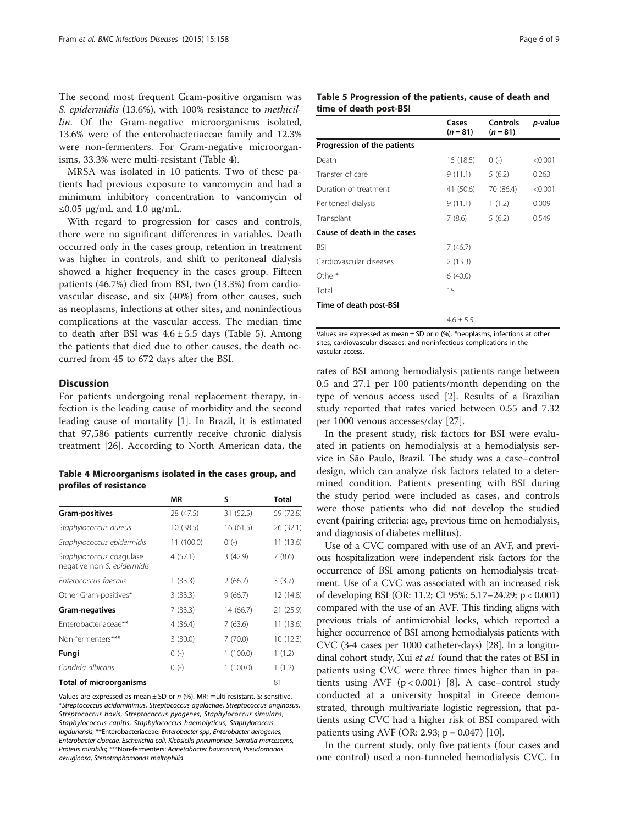The second most frequent Gram-positive organism was S. epidermidis (13.6%), with 100% resistance to methicillin. Of the Gram-negative microorganisms isolated, 13.6% were of the enterobacteriaceae family and 12.3% were non-fermenters. For Gram-negative microorganisms, 33.3% were multi-resistant (Table 4).

MRSA was isolated in 10 patients. Two of these patients had previous exposure to vancomycin and had a minimum inhibitory concentration to vancomycin of ≤0.05 μg/mL and 1.0 μg/mL.

With regard to progression for cases and controls, there were no significant differences in variables. Death occurred only in the cases group, retention in treatment was higher in controls, and shift to peritoneal dialysis showed a higher frequency in the cases group. Fifteen patients (46.7%) died from BSI, two (13.3%) from cardiovascular disease, and six (40%) from other causes, such as neoplasms, infections at other sites, and noninfectious complications at the vascular access. The median time to death after BSI was  $4.6 \pm 5.5$  days (Table 5). Among the patients that died due to other causes, the death occurred from 45 to 672 days after the BSI.

#### **Discussion**

For patients undergoing renal replacement therapy, infection is the leading cause of morbidity and the second leading cause of mortality [[1](#page-7-0)]. In Brazil, it is estimated that 97,586 patients currently receive chronic dialysis treatment [[26\]](#page-8-0). According to North American data, the

| Table 4 Microorganisms isolated in the cases group, and |  |  |  |
|---------------------------------------------------------|--|--|--|
| profiles of resistance                                  |  |  |  |

|                                                         | ΜR         | S         | <b>Total</b> |
|---------------------------------------------------------|------------|-----------|--------------|
| <b>Gram-positives</b>                                   | 28 (47.5)  | 31 (52.5) | 59 (72.8)    |
| Staphylococcus aureus                                   | 10 (38.5)  | 16 (61.5) | 26 (32.1)    |
| Staphylococcus epidermidis                              | 11 (100.0) | $0(-)$    | 11(13.6)     |
| Staphylococcus coagulase<br>negative non S. epidermidis | 4(57.1)    | 3(42.9)   | 7(8.6)       |
| Enterococcus faecalis                                   | 1 (33.3)   | 2(66.7)   | 3(3.7)       |
| Other Gram-positives*                                   | 3(33.3)    | 9(66.7)   | 12 (14.8)    |
| Gram-negatives                                          | 7(33.3)    | 14 (66.7) | 21 (25.9)    |
| Enterobacteriaceae**                                    | 4(36.4)    | 7(63.6)   | 11 (13.6)    |
| Non-fermenters***                                       | 3(30.0)    | 7(70.0)   | 10 (12.3)    |
| Fungi                                                   | $0(-)$     | 1(100.0)  | 1(1.2)       |
| Candida albicans                                        | $0(-)$     | 1(100.0)  | 1(1.2)       |
| <b>Total of microorganisms</b>                          |            |           | 81           |

Values are expressed as mean  $\pm$  SD or n (%). MR: multi-resistant. S: sensitive. \*Streptococcus acidominimus, Streptococcus agalactiae, Streptococcus anginosus, Streptococcus bovis, Streptococcus pyogenes, Staphylococcus simulans, Staphylococcus capitis, Staphylococcus haemolyticus, Staphylococcus lugdunensis; \*\*Enterobacteriaceae: Enterobacter spp, Enterobacter aerogenes, Enterobacter cloacae, Escherichia coli, Klebsiella pneumoniae, Serratia marcescens, Proteus mirabilis; \*\*\*Non-fermenters: Acinetobacter baumannii, Pseudomonas aeruginosa, Stenotrophomonas maltophilia.

|                             | Cases<br>$(n = 81)$ | <b>Controls</b><br>$(n = 81)$ | <i>p</i> -value |
|-----------------------------|---------------------|-------------------------------|-----------------|
| Progression of the patients |                     |                               |                 |
| Death                       | 15 (18.5)           | $O(-)$                        | < 0.001         |
| Transfer of care            | 9(11.1)             | 5(6.2)                        | 0.263           |
| Duration of treatment       | 41 (50.6)           | 70 (86.4)                     | < 0.001         |
| Peritoneal dialysis         | 9(11.1)             | 1(1.2)                        | 0.009           |
| Transplant                  | 7(8.6)              | 5(6.2)                        | 0.549           |
| Cause of death in the cases |                     |                               |                 |
| <b>BSI</b>                  | 7(46.7)             |                               |                 |
| Cardiovascular diseases     | 2(13.3)             |                               |                 |
| Other*                      | 6(40.0)             |                               |                 |
| Total                       | 15                  |                               |                 |
| Time of death post-BSI      |                     |                               |                 |
|                             | $4.6 \pm 5.5$       |                               |                 |

Values are expressed as mean  $\pm$  SD or n (%). \*neoplasms, infections at other sites, cardiovascular diseases, and noninfectious complications in the vascular access.

rates of BSI among hemodialysis patients range between 0.5 and 27.1 per 100 patients/month depending on the type of venous access used [[2\]](#page-7-0). Results of a Brazilian study reported that rates varied between 0.55 and 7.32 per 1000 venous accesses/day [\[27\]](#page-8-0).

In the present study, risk factors for BSI were evaluated in patients on hemodialysis at a hemodialysis service in São Paulo, Brazil. The study was a case–control design, which can analyze risk factors related to a determined condition. Patients presenting with BSI during the study period were included as cases, and controls were those patients who did not develop the studied event (pairing criteria: age, previous time on hemodialysis, and diagnosis of diabetes mellitus).

Use of a CVC compared with use of an AVF, and previous hospitalization were independent risk factors for the occurrence of BSI among patients on hemodialysis treatment. Use of a CVC was associated with an increased risk of developing BSI (OR: 11.2; CI 95%: 5.17–24.29; p < 0.001) compared with the use of an AVF. This finding aligns with previous trials of antimicrobial locks, which reported a higher occurrence of BSI among hemodialysis patients with CVC (3-4 cases per 1000 catheter-days) [\[28\]](#page-8-0). In a longitudinal cohort study, Xui et al. found that the rates of BSI in patients using CVC were three times higher than in patients using AVF  $(p < 0.001)$  [[8](#page-7-0)]. A case–control study conducted at a university hospital in Greece demonstrated, through multivariate logistic regression, that patients using CVC had a higher risk of BSI compared with patients using AVF (OR: 2.93;  $p = 0.047$ ) [[10](#page-7-0)].

In the current study, only five patients (four cases and one control) used a non-tunneled hemodialysis CVC. In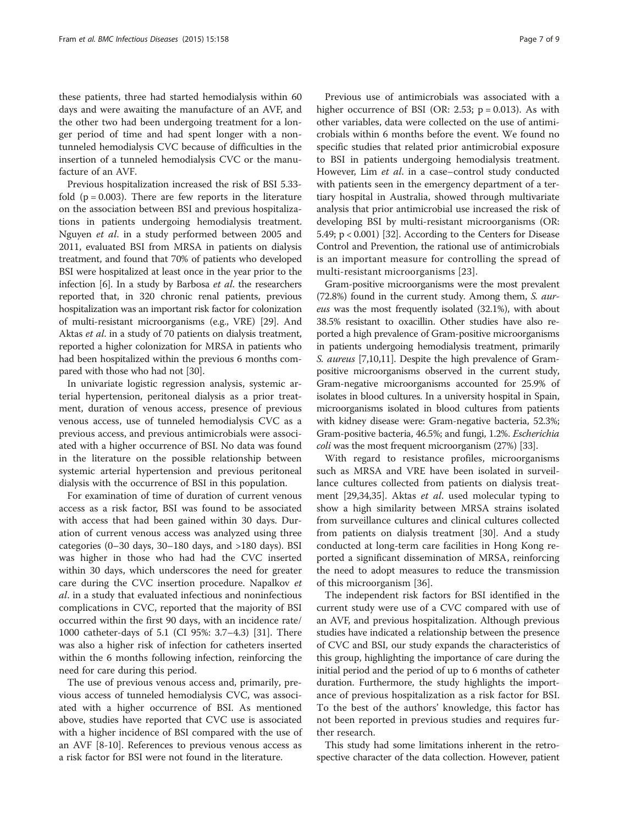these patients, three had started hemodialysis within 60 days and were awaiting the manufacture of an AVF, and the other two had been undergoing treatment for a longer period of time and had spent longer with a nontunneled hemodialysis CVC because of difficulties in the insertion of a tunneled hemodialysis CVC or the manufacture of an AVF.

Previous hospitalization increased the risk of BSI 5.33 fold  $(p = 0.003)$ . There are few reports in the literature on the association between BSI and previous hospitalizations in patients undergoing hemodialysis treatment. Nguyen et al. in a study performed between 2005 and 2011, evaluated BSI from MRSA in patients on dialysis treatment, and found that 70% of patients who developed BSI were hospitalized at least once in the year prior to the infection [[6](#page-7-0)]. In a study by Barbosa *et al*. the researchers reported that, in 320 chronic renal patients, previous hospitalization was an important risk factor for colonization of multi-resistant microorganisms (e.g., VRE) [\[29](#page-8-0)]. And Aktas et al. in a study of 70 patients on dialysis treatment, reported a higher colonization for MRSA in patients who had been hospitalized within the previous 6 months compared with those who had not [\[30\]](#page-8-0).

In univariate logistic regression analysis, systemic arterial hypertension, peritoneal dialysis as a prior treatment, duration of venous access, presence of previous venous access, use of tunneled hemodialysis CVC as a previous access, and previous antimicrobials were associated with a higher occurrence of BSI. No data was found in the literature on the possible relationship between systemic arterial hypertension and previous peritoneal dialysis with the occurrence of BSI in this population.

For examination of time of duration of current venous access as a risk factor, BSI was found to be associated with access that had been gained within 30 days. Duration of current venous access was analyzed using three categories  $(0-30 \text{ days}, 30-180 \text{ days}, \text{ and } >180 \text{ days})$ . BSI was higher in those who had had the CVC inserted within 30 days, which underscores the need for greater care during the CVC insertion procedure. Napalkov et al. in a study that evaluated infectious and noninfectious complications in CVC, reported that the majority of BSI occurred within the first 90 days, with an incidence rate/ 1000 catheter-days of 5.1 (CI 95%: 3.7–4.3) [\[31\]](#page-8-0). There was also a higher risk of infection for catheters inserted within the 6 months following infection, reinforcing the need for care during this period.

The use of previous venous access and, primarily, previous access of tunneled hemodialysis CVC, was associated with a higher occurrence of BSI. As mentioned above, studies have reported that CVC use is associated with a higher incidence of BSI compared with the use of an AVF [\[8](#page-7-0)-[10\]](#page-7-0). References to previous venous access as a risk factor for BSI were not found in the literature.

Previous use of antimicrobials was associated with a higher occurrence of BSI (OR: 2.53;  $p = 0.013$ ). As with other variables, data were collected on the use of antimicrobials within 6 months before the event. We found no specific studies that related prior antimicrobial exposure to BSI in patients undergoing hemodialysis treatment. However, Lim *et al.* in a case–control study conducted with patients seen in the emergency department of a tertiary hospital in Australia, showed through multivariate analysis that prior antimicrobial use increased the risk of developing BSI by multi-resistant microorganisms (OR: 5.49; p < 0.001) [\[32\]](#page-8-0). According to the Centers for Disease Control and Prevention, the rational use of antimicrobials is an important measure for controlling the spread of multi-resistant microorganisms [[23](#page-8-0)].

Gram-positive microorganisms were the most prevalent (72.8%) found in the current study. Among them, S. aureus was the most frequently isolated (32.1%), with about 38.5% resistant to oxacillin. Other studies have also reported a high prevalence of Gram-positive microorganisms in patients undergoing hemodialysis treatment, primarily S. aureus [\[7,10](#page-7-0),[11](#page-7-0)]. Despite the high prevalence of Grampositive microorganisms observed in the current study, Gram-negative microorganisms accounted for 25.9% of isolates in blood cultures. In a university hospital in Spain, microorganisms isolated in blood cultures from patients with kidney disease were: Gram-negative bacteria, 52.3%; Gram-positive bacteria, 46.5%; and fungi, 1.2%. Escherichia coli was the most frequent microorganism (27%) [\[33\]](#page-8-0).

With regard to resistance profiles, microorganisms such as MRSA and VRE have been isolated in surveillance cultures collected from patients on dialysis treatment [[29](#page-8-0),[34](#page-8-0),[35](#page-8-0)]. Aktas et al. used molecular typing to show a high similarity between MRSA strains isolated from surveillance cultures and clinical cultures collected from patients on dialysis treatment [[30](#page-8-0)]. And a study conducted at long-term care facilities in Hong Kong reported a significant dissemination of MRSA, reinforcing the need to adopt measures to reduce the transmission of this microorganism [\[36](#page-8-0)].

The independent risk factors for BSI identified in the current study were use of a CVC compared with use of an AVF, and previous hospitalization. Although previous studies have indicated a relationship between the presence of CVC and BSI, our study expands the characteristics of this group, highlighting the importance of care during the initial period and the period of up to 6 months of catheter duration. Furthermore, the study highlights the importance of previous hospitalization as a risk factor for BSI. To the best of the authors' knowledge, this factor has not been reported in previous studies and requires further research.

This study had some limitations inherent in the retrospective character of the data collection. However, patient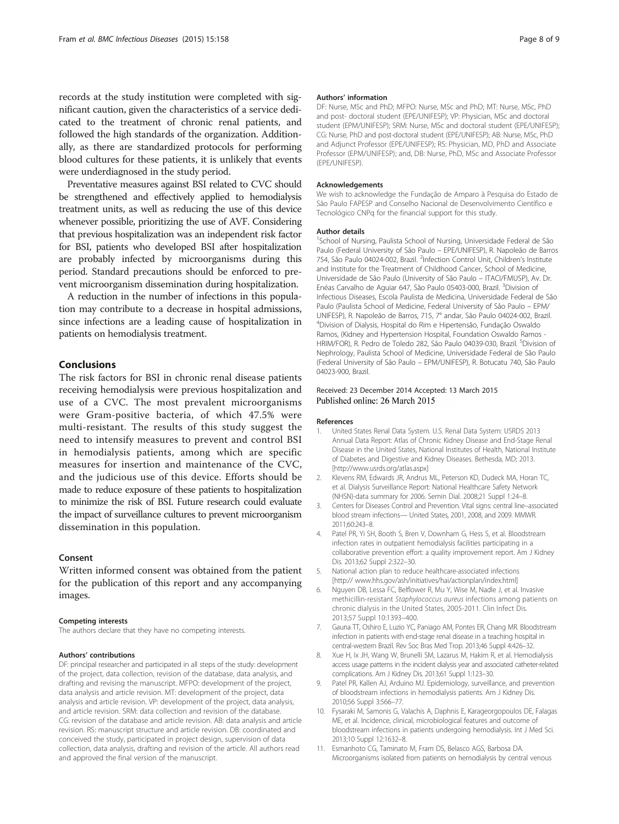<span id="page-7-0"></span>records at the study institution were completed with significant caution, given the characteristics of a service dedicated to the treatment of chronic renal patients, and followed the high standards of the organization. Additionally, as there are standardized protocols for performing blood cultures for these patients, it is unlikely that events were underdiagnosed in the study period.

Preventative measures against BSI related to CVC should be strengthened and effectively applied to hemodialysis treatment units, as well as reducing the use of this device whenever possible, prioritizing the use of AVF. Considering that previous hospitalization was an independent risk factor for BSI, patients who developed BSI after hospitalization are probably infected by microorganisms during this period. Standard precautions should be enforced to prevent microorganism dissemination during hospitalization.

A reduction in the number of infections in this population may contribute to a decrease in hospital admissions, since infections are a leading cause of hospitalization in patients on hemodialysis treatment.

## Conclusions

The risk factors for BSI in chronic renal disease patients receiving hemodialysis were previous hospitalization and use of a CVC. The most prevalent microorganisms were Gram-positive bacteria, of which 47.5% were multi-resistant. The results of this study suggest the need to intensify measures to prevent and control BSI in hemodialysis patients, among which are specific measures for insertion and maintenance of the CVC, and the judicious use of this device. Efforts should be made to reduce exposure of these patients to hospitalization to minimize the risk of BSI. Future research could evaluate the impact of surveillance cultures to prevent microorganism dissemination in this population.

#### Consent

Written informed consent was obtained from the patient for the publication of this report and any accompanying images.

#### Competing interests

The authors declare that they have no competing interests.

#### Authors' contributions

DF: principal researcher and participated in all steps of the study: development of the project, data collection, revision of the database, data analysis, and drafting and revising the manuscript. MFPO: development of the project, data analysis and article revision. MT: development of the project, data analysis and article revision. VP: development of the project, data analysis, and article revision. SRM: data collection and revision of the database. CG: revision of the database and article revision. AB: data analysis and article revision. RS: manuscript structure and article revision. DB: coordinated and conceived the study, participated in project design, supervision of data collection, data analysis, drafting and revision of the article. All authors read and approved the final version of the manuscript.

#### Authors' information

DF: Nurse, MSc and PhD; MFPO: Nurse, MSc and PhD; MT: Nurse, MSc, PhD and post- doctoral student (EPE/UNIFESP); VP: Physician, MSc and doctoral student (EPM/UNIFESP); SRM: Nurse, MSc and doctoral student (EPE/UNIFESP); CG: Nurse, PhD and post-doctoral student (EPE/UNIFESP); AB: Nurse, MSc, PhD and Adjunct Professor (EPE/UNIFESP); RS: Physician, MD, PhD and Associate Professor (EPM/UNIFESP); and, DB: Nurse, PhD, MSc and Associate Professor (EPE/UNIFESP).

#### Acknowledgements

We wish to acknowledge the Fundação de Amparo à Pesquisa do Estado de São Paulo FAPESP and Conselho Nacional de Desenvolvimento Científico e Tecnológico CNPq for the financial support for this study.

#### Author details

<sup>1</sup>School of Nursing, Paulista School of Nursing, Universidade Federal de São Paulo (Federal University of São Paulo – EPE/UNIFESP), R. Napoleão de Barros 754, São Paulo 04024-002, Brazil. <sup>2</sup>Infection Control Unit, Children's Institute and Institute for the Treatment of Childhood Cancer, School of Medicine, Universidade de São Paulo (University of São Paulo – ITACI/FMUSP), Av. Dr. Enéas Carvalho de Aguiar 647, São Paulo 05403-000, Brazil. <sup>3</sup>Division of Infectious Diseases, Escola Paulista de Medicina, Universidade Federal de São Paulo (Paulista School of Medicine, Federal University of São Paulo – EPM/ UNIFESP), R. Napoleão de Barros, 715, 7° andar, São Paulo 04024-002, Brazil. 4 Division of Dialysis, Hospital do Rim e Hipertensão, Fundação Oswaldo Ramos, (Kidney and Hypertension Hospital, Foundation Oswaldo Ramos - HRIM/FOR), R. Pedro de Toledo 282, São Paulo 04039-030, Brazil. <sup>5</sup>Division of Nephrology, Paulista School of Medicine, Universidade Federal de São Paulo (Federal University of São Paulo – EPM/UNIFESP), R. Botucatu 740, São Paulo 04023-900, Brazil.

#### Received: 23 December 2014 Accepted: 13 March 2015 Published online: 26 March 2015

#### References

- 1. United States Renal Data System. U.S. Renal Data System: USRDS 2013 Annual Data Report: Atlas of Chronic Kidney Disease and End-Stage Renal Disease in the United States, National Institutes of Health, National Institute of Diabetes and Digestive and Kidney Diseases. Bethesda, MD; 2013. [[http://www.usrds.org/atlas.aspx\]](http://www.usrds.org/atlas.aspx)
- 2. Klevens RM, Edwards JR, Andrus ML, Peterson KD, Dudeck MA, Horan TC, et al. Dialysis Surveillance Report: National Healthcare Safety Network (NHSN)-data summary for 2006. Semin Dial. 2008;21 Suppl 1:24–8.
- 3. Centers for Diseases Control and Prevention. Vital signs: central line–associated blood stream infections— United States, 2001, 2008, and 2009. MMWR. 2011;60:243–8.
- 4. Patel PR, Yi SH, Booth S, Bren V, Downham G, Hess S, et al. Bloodstream infection rates in outpatient hemodialysis facilities participating in a collaborative prevention effort: a quality improvement report. Am J Kidney Dis. 2013;62 Suppl 2:322–30.
- 5. National action plan to reduce healthcare-associated infections [http:// [www.hhs.gov/ash/initiatives/hai/actionplan/index.html\]](http://www.hhs.gov/ash/initiatives/hai/actionplan/index.html)
- 6. Nguyen DB, Lessa FC, Belflower R, Mu Y, Wise M, Nadle J, et al. Invasive methicillin-resistant Staphylococcus aureus infections among patients on chronic dialysis in the United States, 2005-2011. Clin Infect Dis. 2013;57 Suppl 10:1393–400.
- 7. Gauna TT, Oshiro E, Luzio YC, Paniago AM, Pontes ER, Chang MR. Bloodstream infection in patients with end-stage renal disease in a teaching hospital in central-western Brazil. Rev Soc Bras Med Trop. 2013;46 Suppl 4:426–32.
- 8. Xue H, Ix JH, Wang W, Brunelli SM, Lazarus M, Hakim R, et al. Hemodialysis access usage patterns in the incident dialysis year and associated catheter-related complications. Am J Kidney Dis. 2013;61 Suppl 1:123–30.
- 9. Patel PR, Kallen AJ, Arduino MJ. Epidemiology, surveillance, and prevention of bloodstream infections in hemodialysis patients. Am J Kidney Dis. 2010;56 Suppl 3:566–77.
- 10. Fysaraki M, Samonis G, Valachis A, Daphnis E, Karageorgopoulos DE, Falagas ME, et al. Incidence, clinical, microbiological features and outcome of bloodstream infections in patients undergoing hemodialysis. Int J Med Sci. 2013;10 Suppl 12:1632–8.
- 11. Esmanhoto CG, Taminato M, Fram DS, Belasco AGS, Barbosa DA. Microorganisms isolated from patients on hemodialysis by central venous